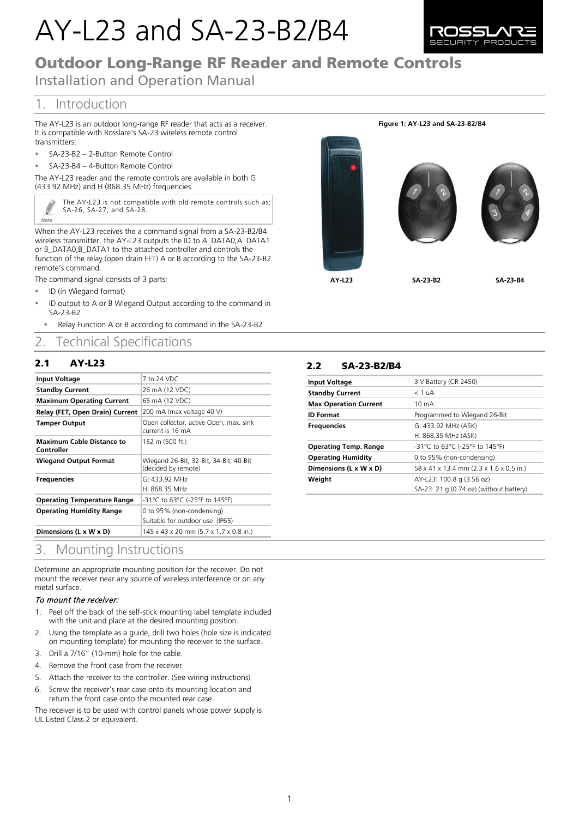# AY-L23 and SA-23-B2/B4



## Outdoor Long-Range RF Reader and Remote Controls

Installation and Operation Manual

## 1. Introduction

The AY-L23 is an outdoor long-range RF reader that acts as a receiver. It is compatible with Rosslare's SA-23 wireless remote control transmitters:

- SA-23-B2 2-Button Remote Control
- SA-23-B4 4-Button Remote Control

The AY-L23 reader and the remote controls are available in both G (433.92 MHz) and H (868.35 MHz) frequencies.

> The AY-L23 is not compatible with old remote controls such as: SA-26, SA-27, and SA-28.

When the AY-L23 receives the a command signal from a SA-23-B2/B4 wireless transmitter, the AY-L23 outputs the ID to A\_DATA0,A\_DATA1 or B\_DATA0,B\_DATA1 to the attached controller and controls the function of the relay (open drain FET) A or B according to the SA-23-B2 remote's command.

The command signal consists of 3 parts:

ID (in Wiegand format)

Ø Note

- ID output to A or B Wiegand Output according to the command in SA-23-B2
- Relay Function A or B according to command in the SA-23-B2

## 2. Technical Specifications

#### 2.1 AY-L23

| <b>Input Voltage</b>                           | 7 to 24 VDC                                                   |
|------------------------------------------------|---------------------------------------------------------------|
| <b>Standby Current</b>                         | 26 mA (12 VDC)                                                |
| <b>Maximum Operating Current</b>               | 65 mA (12 VDC)                                                |
| Relay (FET, Open Drain) Current                | 200 mA (max voltage 40 V)                                     |
| <b>Tamper Output</b>                           | Open collector, active Open, max. sink<br>current is 16 mA    |
| <b>Maximum Cable Distance to</b><br>Controller | 152 m (500 ft.)                                               |
| <b>Wiegand Output Format</b>                   | Wiegand 26-Bit, 32-Bit, 34-Bit, 40-Bit<br>(decided by remote) |
| <b>Frequencies</b>                             | G: 433.92 MHz                                                 |
|                                                | H: 868.35 MHz                                                 |
| <b>Operating Temperature Range</b>             | -31°C to 63°C (-25°F to 145°F)                                |
| <b>Operating Humidity Range</b>                | 0 to 95% (non-condensing)<br>Suitable for outdoor use (IP65)  |
| Dimensions (L x W x D)                         | 145 x 43 x 20 mm (5.7 x 1.7 x 0.8 in.)                        |

## 3. Mounting Instructions

Determine an appropriate mounting position for the receiver. Do not mount the receiver near any source of wireless interference or on any metal surface.

#### To mount the receiver:

- 1. Peel off the back of the self-stick mounting label template included with the unit and place at the desired mounting position.
- 2. Using the template as a guide, drill two holes (hole size is indicated on mounting template) for mounting the receiver to the surface.
- 3. Drill a 7/16" (10-mm) hole for the cable.
- 4. Remove the front case from the receiver.
- 5. Attach the receiver to the controller. (See wiring instructions)
- 6. Screw the receiver's rear case onto its mounting location and return the front case onto the mounted rear case.

The receiver is to be used with control panels whose power supply is UL Listed Class 2 or equivalent.



#### 2.2 SA-23-B2/B4

| <b>Input Voltage</b>         | 3 V Battery (CR 2450)                   |
|------------------------------|-----------------------------------------|
| <b>Standby Current</b>       | $<$ 1 uA                                |
| <b>Max Operation Current</b> | $10 \text{ mA}$                         |
| <b>ID Format</b>             | Programmed to Wiegand 26-Bit            |
| <b>Frequencies</b>           | G: 433.92 MHz (ASK)                     |
|                              | H: 868.35 MHz (ASK)                     |
| <b>Operating Temp. Range</b> | -31°C to 63°C (-25°F to 145°F)          |
| <b>Operating Humidity</b>    | 0 to 95% (non-condensing)               |
| Dimensions (L x W x D)       | 58 x 41 x 13.4 mm (2.3 x 1.6 x 0.5 in.) |
| Weight                       | AY-L23: 100.8 g (3.56 oz)               |
|                              | SA-23: 21 g (0.74 oz) (without battery) |

#### **Figure 1: AY-L23 and SA-23-B2/B4**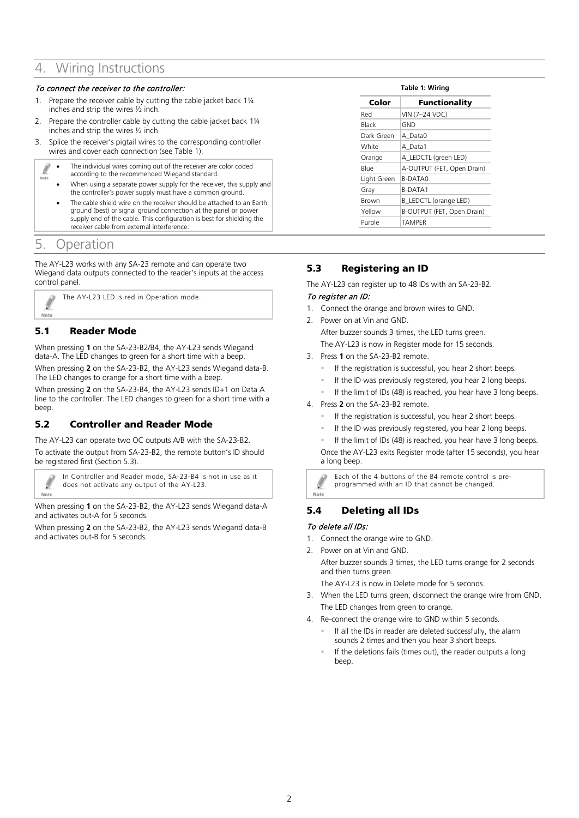## 4. Wiring Instructions

#### To connect the receiver to the controller:

- 1. Prepare the receiver cable by cutting the cable jacket back 1¼ inches and strip the wires ½ inch.
- 2. Prepare the controller cable by cutting the cable jacket back 1¼ inches and strip the wires ½ inch.
- 3. Splice the receiver's pigtail wires to the corresponding controller wires and cover each connection (see [Table 1\)](#page-1-0).
	- The individual wires coming out of the receiver are color coded Í
	- according to the recommended Wiegand standard.
		- When using a separate power supply for the receiver, this supply and the controller's power supply must have a common ground.
		- The cable shield wire on the receiver should be attached to an Earth ground (best) or signal ground connection at the panel or power supply end of the cable. This configuration is best for shielding the receiver cable from external interference.

## 5. Operation

The AY-L23 works with any SA-23 remote and can operate two Wiegand data outputs connected to the reader's inputs at the access control panel.

The AY-L23 LED is red in Operation mode. Note

### 5.1 **Reader Mode**

When pressing **1** on the SA-23-B2/B4, the AY-L23 sends Wiegand data-A. The LED changes to green for a short time with a beep.

When pressing **2** on the SA-23-B2, the AY-L23 sends Wiegand data-B. The LED changes to orange for a short time with a beep.

When pressing **2** on the SA-23-B4, the AY-L23 sends ID+1 on Data A line to the controller. The LED changes to green for a short time with a beep.

#### **5.2** Controller and Reader Mode

The AY-L23 can operate two OC outputs A/B with the SA-23-B2.

To activate the output from SA-23-B2, the remote button's ID should be registered first (Sectio[n 5.3\)](#page-1-1).

In Controller and Reader mode, SA-23-B4 is not in use as it does not activate any output of the AY-L23. Note

When pressing **1** on the SA-23-B2, the AY-L23 sends Wiegand data-A and activates out-A for 5 seconds.

<span id="page-1-1"></span>When pressing **2** on the SA-23-B2, the AY-L23 sends Wiegand data-B and activates out-B for 5 seconds.

<span id="page-1-0"></span>

| Color       | Functionality              |
|-------------|----------------------------|
| Red         | VIN (7-24 VDC)             |
| Black       | <b>GND</b>                 |
| Dark Green  | A Data0                    |
| White       | A Data1                    |
| Orange      | A LEDCTL (green LED)       |
| Blue        | A-OUTPUT (FET, Open Drain) |
| Light Green | <b>B-DATAO</b>             |
| Gray        | <b>B-DATA1</b>             |
| Brown       | B LEDCTL (orange LED)      |
| Yellow      | B-OUTPUT (FET, Open Drain) |
| Purple      | <b>TAMPER</b>              |

#### **5.3** Registering an ID

The AY-L23 can register up to 48 IDs with an SA-23-B2.

#### To register an ID:

- 1. Connect the orange and brown wires to GND.
- 2. Power on at Vin and GND. After buzzer sounds 3 times, the LED turns green. The AY-L23 is now in Register mode for 15 seconds.
- 3. Press **1** on the SA-23-B2 remote.
	- If the registration is successful, you hear 2 short beeps.
	- If the ID was previously registered, you hear 2 long beeps.
	- If the limit of IDs (48) is reached, you hear have 3 long beeps.
- 4. Press **2** on the SA-23-B2 remote.
	- If the registration is successful, you hear 2 short beeps.
	- If the ID was previously registered, you hear 2 long beeps.
	- If the limit of IDs (48) is reached, you hear have 3 long beeps.

Once the AY-L23 exits Register mode (after 15 seconds), you hear a long beep.

Each of the 4 buttons of the B4 remote control is preprogrammed with an ID that cannot be changed.

## 5.4 **Deleting all IDs**

#### To delete all IDs:

Ø Note

- 1. Connect the orange wire to GND.
- 2. Power on at Vin and GND.

After buzzer sounds 3 times, the LED turns orange for 2 seconds and then turns green.

The AY-L23 is now in Delete mode for 5 seconds.

- 3. When the LED turns green, disconnect the orange wire from GND. The LED changes from green to orange.
- 4. Re-connect the orange wire to GND within 5 seconds.
	- If all the IDs in reader are deleted successfully, the alarm sounds 2 times and then you hear 3 short beeps.
	- If the deletions fails (times out), the reader outputs a long beep.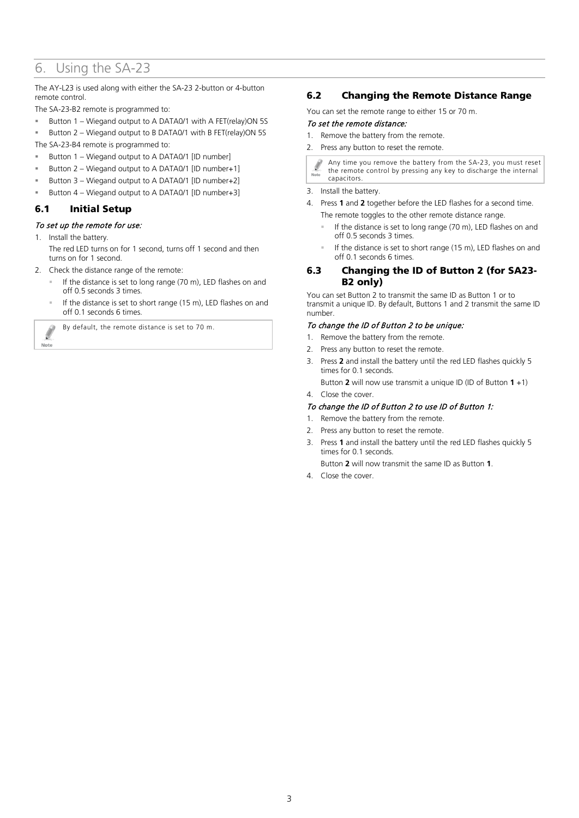## 6. Using the SA-23

The AY-L23 is used along with either the SA-23 2-button or 4-button remote control.

The SA-23-B2 remote is programmed to:

Button 1 – Wiegand output to A DATA0/1 with A FET(relay)ON 5S

 Button 2 – Wiegand output to B DATA0/1 with B FET(relay)ON 5S The SA-23-B4 remote is programmed to:

- Button 1 Wiegand output to A DATA0/1 [ID number]
- Button 2 Wiegand output to A DATA0/1 [ID number+1]
- Button 3 Wiegand output to A DATA0/1 [ID number+2]
- Button 4 Wiegand output to A DATA0/1 [ID number+3]

#### 6.1 Initial Setup

#### To set up the remote for use:

1. Install the battery.

Í Note

- The red LED turns on for 1 second, turns off 1 second and then turns on for 1 second.
- 2. Check the distance range of the remote:
	- If the distance is set to long range (70 m), LED flashes on and off 0.5 seconds 3 times.
	- If the distance is set to short range (15 m), LED flashes on and off 0.1 seconds 6 times.

By default, the remote distance is set to 70 m.

#### 6.2 Changing the Remote Distance Range

You can set the remote range to either 15 or 70 m.

#### To set the remote distance:

- 1. Remove the battery from the remote.
- 2. Press any button to reset the remote.

Any time you remove the battery from the SA-23, you must reset the remote control by pressing any key to discharge the internal capacitors.

3. Install the battery.

- 4. Press **1** and **2** together before the LED flashes for a second time. The remote toggles to the other remote distance range.
	- If the distance is set to long range (70 m), LED flashes on and off 0.5 seconds 3 times.
	- If the distance is set to short range (15 m), LED flashes on and off 0.1 seconds 6 times.

#### 6.3 Changing the ID of Button 2 (for SA23- B2 only)

You can set Button 2 to transmit the same ID as Button 1 or to transmit a unique ID. By default, Buttons 1 and 2 transmit the same ID number.

#### To change the ID of Button 2 to be unique:

- 1. Remove the battery from the remote.
- 2. Press any button to reset the remote.
- 3. Press **2** and install the battery until the red LED flashes quickly 5 times for 0.1 seconds.

Button **2** will now use transmit a unique ID (ID of Button **1** +1)

#### 4. Close the cover.

#### To change the ID of Button 2 to use ID of Button 1:

- 1. Remove the battery from the remote.
- 2. Press any button to reset the remote.
- 3. Press **1** and install the battery until the red LED flashes quickly 5 times for 0.1 seconds.

Button **2** will now transmit the same ID as Button **1**.

4. Close the cover.